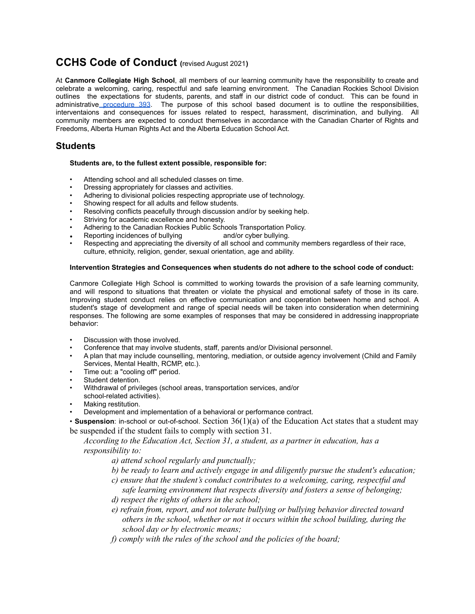# **CCHS Code of Conduct (**revised August 2021**)**

At **Canmore Collegiate High School**, all members of our learning community have the responsibility to create and celebrate a welcoming, caring, respectful and safe learning environment. The Canadian Rockies School Division outlines the expectations for students, parents, and staff in our district code of conduct. This can be found in administrative [procedure](https://www.crps.ca/download/344307) 393. The purpose of this school based document is to outline the responsibilities, interventaions and consequences for issues related to respect, harassment, discrimination, and bullying. All community members are expected to conduct themselves in accordance with the Canadian Charter of Rights and Freedoms, Alberta Human Rights Act and the Alberta Education School Act.

# **Students**

#### **Students are, to the fullest extent possible, responsible for:**

- Attending school and all scheduled classes on time.
- Dressing appropriately for classes and activities.
- Adhering to divisional policies respecting appropriate use of technology.
- Showing respect for all adults and fellow students.
- Resolving conflicts peacefully through discussion and/or by seeking help.
- Striving for academic excellence and honesty.
- Adhering to the Canadian Rockies Public Schools Transportation Policy.
- Reporting incidences of bullying and/or cyber bullying.
- Respecting and appreciating the diversity of all school and community members regardless of their race, culture, ethnicity, religion, gender, sexual orientation, age and ability.

#### **Intervention Strategies and Consequences when students do not adhere to the school code of conduct:**

Canmore Collegiate High School is committed to working towards the provision of a safe learning community, and will respond to situations that threaten or violate the physical and emotional safety of those in its care. Improving student conduct relies on effective communication and cooperation between home and school. A student's stage of development and range of special needs will be taken into consideration when determining responses. The following are some examples of responses that may be considered in addressing inappropriate behavior:

- Discussion with those involved.
- Conference that may involve students, staff, parents and/or Divisional personnel.
- A plan that may include counselling, mentoring, mediation, or outside agency involvement (Child and Family Services, Mental Health, RCMP, etc.).
- Time out: a "cooling off" period.
- Student detention.
- Withdrawal of privileges (school areas, transportation services, and/or
- school-related activities).
- Making restitution.
- Development and implementation of a behavioral or performance contract.

• **Suspension**: in-school or out-of-school. Section 36(1)(a) of the Education Act states that a student may be suspended if the student fails to comply with section 31.

*According to the Education Act, Section 31, a student, as a partner in education, has a responsibility to:*

- *a) attend school regularly and punctually;*
- *b) be ready to learn and actively engage in and diligently pursue the student's education;*
- *c) ensure that the student's conduct contributes to a welcoming, caring, respectful and safe learning environment that respects diversity and fosters a sense of belonging;*
- *d) respect the rights of others in the school;*
- *e) refrain from, report, and not tolerate bullying or bullying behavior directed toward others in the school, whether or not it occurs within the school building, during the school day or by electronic means;*
- *f) comply with the rules of the school and the policies of the board;*